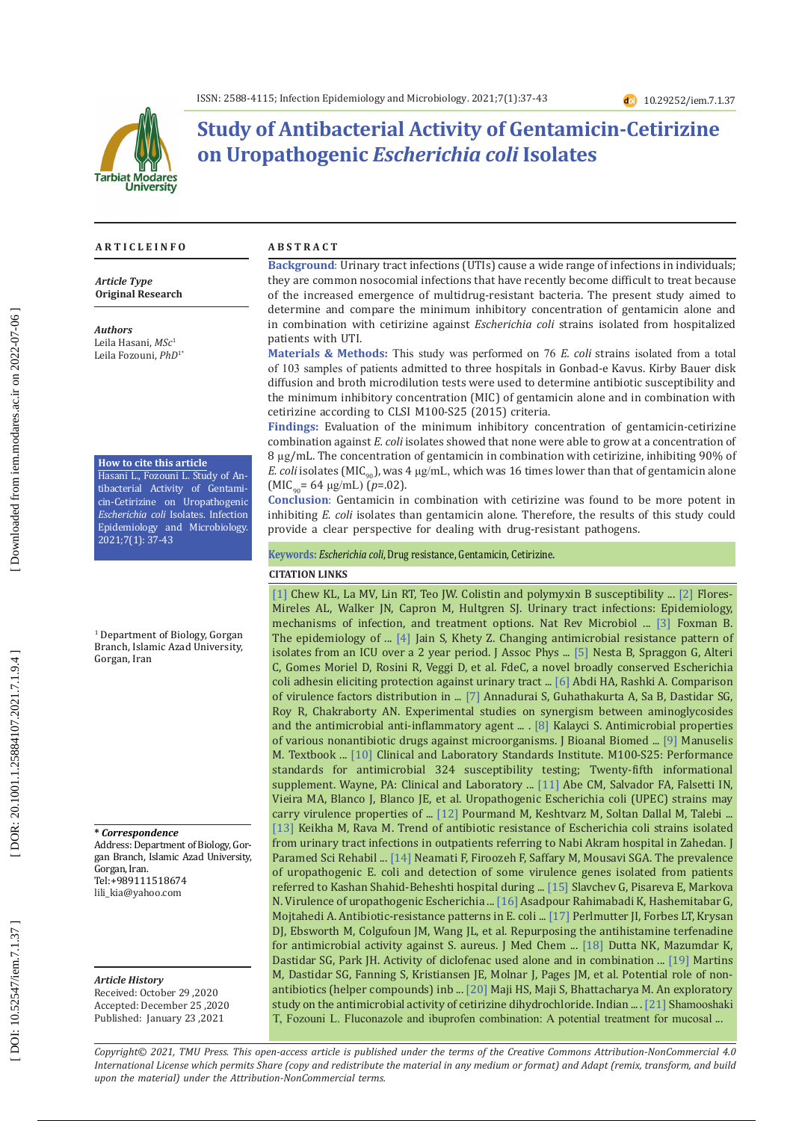

# **Study of Antibacterial Activity of Gentamicin-Cetirizine on Uropathogenic** *Escherichia coli* **Isolates**

#### **A R T I C L E I N F O A B S T R A C T**

*Article Type* **Original Research**

*Authors* Leila Hasani, *MSc* 1 Leila Fozouni, *PhD*1\*

#### **How to cite this article**

Hasani L., Fozouni L. Study of An tibacterial Activity of Gentami cin-Cetirizine on Uropathogenic *Escherichia coli* Isolates. Infection Epidemiology and Microbiology. 2021;7(1): 37-43

1 Department of Biology, Gorgan Branch, Islamic Azad University, Gorgan, Iran

**\*** *Correspondence* Address: Department of Biology, Gorgan Branch, Islamic Azad University, Gorgan, Iran. <Tel:+989111518674> [lili\\_kia@yahoo.com](mailto:lili_kia@yahoo.com)

*Article History*

Received: October 29 ,2020 Accepted: December 25 ,2020 Published: January 23 ,2021

**Background** : Urinary tract infections (UTIs) cause a wide range of infections in individuals; they are common nosocomial infections that have recently become difficult to treat because of the increased emergence of multidrug-resistant bacteria. The present study aimed to determine and compare the minimum inhibitory concentration of gentamicin alone and in combination with cetirizine against *Escherichia coli* strains isolated from hospitalized patients with UTI.

**Materials & Methods:** This study was performed on 76 *E. coli* strains isolated from a total of 103 samples of patients admitted to three hospitals in Gonbad-e Kavus. Kirby Bauer disk diffusion and broth microdilution tests were used to determine antibiotic susceptibility and the minimum inhibitory concentration (MIC) of gentamicin alone and in combination with cetirizine according to CLSI M100-S25 (2015) criteria.

**Findings:** Evaluation of the minimum inhibitory concentration of gentamicin-cetirizine combination against *E. coli* isolates showed that none were able to grow at a concentration of 8 µg/mL. The concentration of gentamicin in combination with cetirizine, inhibiting 90% of *E. coli* isolates ( $MIC_{90}$ ), was 4  $\mu$ g/mL, which was 16 times lower than that of gentamicin alone (MIC<sub>90</sub>= 64 μg/mL) (*p*=.02).

**Conclusion** : Gentamicin in combination with cetirizine was found to be more potent in inhibiting *E. coli* isolates than gentamicin alone. Therefore, the results of this study could provide a clear perspective for dealing with drug-resistant pathogens.

**Keywords:** *Escherichia coli*, Drug resistance, Gentamicin, Cetirizine .

#### **CITATION LINKS**

[\[1\]](https://jcm.asm.org/content/55/9/2609.short) Chew KL, La MV, Lin RT, Teo JW. Colistin and polymyxin B susceptibility ... [\[2\]](https://www.nature.com/articles/nrmicro3432) Flores-Mireles AL, Walker JN, Capron M, Hultgren SJ. Urinary tract infections: Epidemiology, mechanisms of infection, and treatment options. Nat Rev Microbiol ... [\[3\]](https://www.nature.com/articles/nrurol.2010.190) Foxman B. The epidemiology of ... [\[4\]](https://europepmc.org/article/med/23029718) Jain S, Khety Z. Changing antimicrobial resistance pattern of isolates from an ICU over a 2 year period. J Assoc Phys ... [\[5\]](https://mbio.asm.org/content/3/2/e00010-12.short) Nesta B, Spraggon G, Alteri C, Gomes Moriel D, Rosini R, Veggi D, et al. FdeC, a novel broadly conserved Escherichia coli adhesin eliciting protection against urinary tract ... [\[6\]](https://www.researchgate.net/profile/Ahmad_Rashki/publication/264551427_Comparison_of_the_Virulence_Factors_distribution_in_Uropathogenic_E_coli_isolates_belonged_to_phylogenetic_group_B2_and_D/links/5473748a0cf216f8cfaff64c.pdf) Abdi HA, Rashki A. Comparison of virulence factors distribution in ... [\[7\]](https://www.tandfonline.com/doi/abs/10.1179/joc.2002.14.1.47) Annadurai S, Guhathakurta A, Sa B, Dastidar SG, Roy R, Chakraborty AN. Experimental studies on synergism between aminoglycosides and the antimicrobial anti-inflammatory agent ... . [\[8\]](https://www.hilarispublisher.com/open-access/antimicrobial-properties-of-various-nonantibiotic-drugs-againstmicroorganisms-1948-593X-1000e142.pdf) Kalayci S. Antimicrobial properties of various nonantibiotic drugs against microorganisms. J Bioanal Biomed ... [\[9\]](https://www.elsevier.com/books/textbook-of-diagnostic-microbiology/mahon/978-0-323-08989-0) Manuselis M. Textbook ... [\[10\]](https://kaldur.landspitali.is/focal/gaedahandbaekur/gnhsykla.nsf/5e27f2e5a88c898e00256500003c98c2/9c4f4955ccb9f8100025751a0046b075/$FILE/ATTIGBN7.pdf/M100-S25%20Performance%20Standards%20for%20Antimicrobial%20Susceptibility%20Testing.pdf) Clinical and Laboratory Standards Institute. M100-S25: Performance standards for antimicrobial 324 susceptibility testing; Twenty-fifth informational supplement. Wayne, PA: Clinical and Laboratory ... [\[11\]](https://academic.oup.com/femspd/article-abstract/52/3/397/545846) Abe CM, Salvador FA, Falsetti IN, Vieira MA, Blanco J, Blanco JE, et al. Uropathogenic Escherichia coli (UPEC) strains may carry virulence properties of ... [\[12\]](http://search.ebscohost.com/login.aspx?direct=true&profile=ehost&scope=site&authtype=crawler&jrnl=16831764&AN=89183718&h=O0IA1iqlgmXye9Lsbu1GzIIMQz6d%2FFqwsCOUgnxOz3pJFHgf5gxF9os5Am0pHwZXsNg0iYMIa6WB%2FT8gp4ctFQ%3D%3D&crl=c) Pourmand M, Keshtvarz M, Soltan Dallal M, Talebi ... [\[13\]](https://jpsr.mums.ac.ir/article_9883_en.html?lang=en) Keikha M, Rava M. Trend of antibiotic resistance of Escherichia coli strains isolated from urinary tract infections in outpatients referring to Nabi Akram hospital in Zahedan. J Paramed Sci Rehabil ... [\[14\]](http://feyz.kaums.ac.ir/article-1-2297-en.html) Neamati F, Firoozeh F, Saffary M, Mousavi SGA. The prevalence of uropathogenic E. coli and detection of some virulence genes isolated from patients referred to Kashan Shahid-Beheshti hospital during ... [\[15\]](https://www.nbimcc.org/JCC/2009/JCC0961/JCC0961.pdf) Slavchev G, Pisareva E, Markova N. Virulence of uropathogenic Escherichia ... [\[16\]](http://journal.gums.ac.ir/article-1-1098-en.html) Asadpour Rahimabadi K, Hashemitabar G, Mojtahedi A. Antibiotic-resistance patterns in E. coli ... [\[17\]](https://pubs.acs.org/doi/abs/10.1021/jm5010682) Perlmutter JI, Forbes LT, Krysan DJ, Ebsworth M, Colgufoun JM, Wang JL, et al. Repurposing the antihistamine terfenadine for antimicrobial activity against S. aureus. J Med Chem ... [\[18\]](https://www.sciencedirect.com/science/article/pii/S0924857907002233) Dutta NK, Mazumdar K, Dastidar SG, Park JH. Activity of diclofenac used alone and in combination ... [\[19\]](https://www.sciencedirect.com/science/article/pii/S0924857907005572) Martins M, Dastidar SG, Fanning S, Kristiansen JE, Molnar J, Pages JM, et al. Potential role of nonantibiotics (helper compounds) inb ... [\[20\]](https://www.ijpsonline.com/articles/an-exploratory-study-on-the-antimicrobial-activity-of-cetirizine-dihydrochloride-3386.html?view=mobile) Maji HS, Maji S, Bhattacharya M. An exploratory study on the antimicrobial activity of cetirizine dihydrochloride. Indian ... . [\[21\]](http://mlj.goums.ac.ir/browse.php?a_id=1257&sid=1&slc_lang=fa) Shamooshaki T, Fozouni L. Fluconazole and ibuprofen combination: A potential treatment for mucosal ...

*Copyright© 2021, TMU Press. This open-access article is published under the terms of the Creative Commons Attribution-NonCommercial 4.0 International License which permits Share (copy and redistribute the material in any medium or format) and Adapt (remix, transform, and build upon the material) under the Attribution-NonCommercial terms.*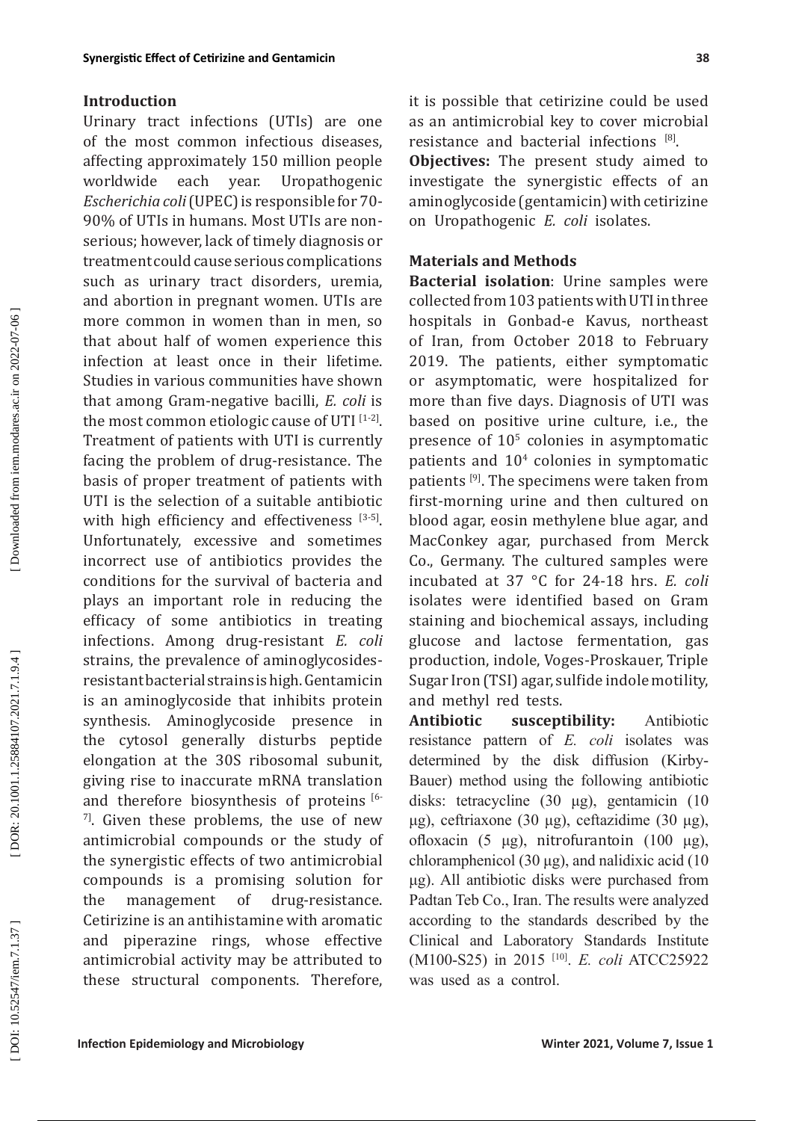### **Introduction**

Urinary tract infections (UTIs) are one of the most common infectious diseases, affecting approximately 150 million people worldwide each year. Uropathogenic *Escherichia coli* (UPEC) is responsible for 70- 90% of UTIs in humans. Most UTIs are nonserious; however, lack of timely diagnosis or treatment could cause serious complications such as urinary tract disorders, uremia, and abortion in pregnant women. UTIs are more common in women than in men, so that about half of women experience this infection at least once in their lifetime. Studies in various communities have shown that among Gram-negative bacilli, *E. coli* is the most common etiologic cause of UTI [1-2]. Treatment of patients with UTI is currently facing the problem of drug-resistance. The basis of proper treatment of patients with UTI is the selection of a suitable antibiotic with high efficiency and effectiveness [3-5]. Unfortunately, excessive and sometimes incorrect use of antibiotics provides the conditions for the survival of bacteria and plays an important role in reducing the efficacy of some antibiotics in treating infections. Among drug-resistant *E. coli* strains, the prevalence of aminoglycosidesresistant bacterial strains is high. Gentamicin is an aminoglycoside that inhibits protein synthesis. Aminoglycoside presence in the cytosol generally disturbs peptide elongation at the [30S](https://en.wikipedia.org/wiki/30S) [ribosomal](https://en.wikipedia.org/wiki/Ribosome) subunit, giving rise to inaccurate mRNA translation and therefore biosynthesis of proteins [6- $7$ ]. Given these problems, the use of new antimicrobial compounds or the study of the synergistic effects of two antimicrobial compounds is a promising solution for<br>the management of drug-resistance. the management of drug-resistance. Cetirizine is an antihistamine with aromatic and piperazine rings, whose effective antimicrobial activity may be attributed to these structural components. Therefore,

**Objectives:** The present study aimed to investigate the synergistic effects of an aminoglycoside (gentamicin) with cetirizine on Uropathogenic *E. coli* isolates.

### **Materials and Methods**

**Bacterial isolation**: Urine samples were collected from 103 patients with UTI in three hospitals in Gonbad-e Kavus, northeast of Iran, from October 2018 to February 2019. The patients, either symptomatic or asymptomatic, were hospitalized for more than five days. Diagnosis of UTI was based on positive urine culture, i.e., the presence of 10 5 colonies in asymptomatic patients and 10 4 colonies in symptomatic patients<sup>[9]</sup>. The specimens were taken from first-morning urine and then cultured on blood agar, eosin methylene blue agar, and MacConkey agar, purchased from Merck Co., Germany. The cultured samples were incubated at 37 °C for 24 -18 hrs. *E. coli* isolates were identified based on Gram staining and biochemical assays, including glucose and lactose fermentation, gas production, indole, Voges-Proskauer, Triple Sugar Iron (TSI) agar, sulfide indole motility, and methyl red tests.<br>Antibiotic suscept

**Antibiotic susceptibility:** Antibiotic resistance pattern of *E. coli* isolates was determined by the disk diffusion (Kirby-Bauer) method using the following antibiotic disks: tetracycline (30 μg), gentamicin (10 μg), ceftriaxone (30 μg), ceftazidime (30 μg), ofloxacin (5 μg), nitrofurantoin (100 μg), chloramphenicol (30 μg), and nalidixic acid (10 μg). All antibiotic disks were purchased from Padtan Teb Co., Iran. The results were analyzed according to the standards described by the Clinical and Laboratory Standards Institute (M100-S25) in 2015 [10]. *E. coli* ATCC25922 was used as a control.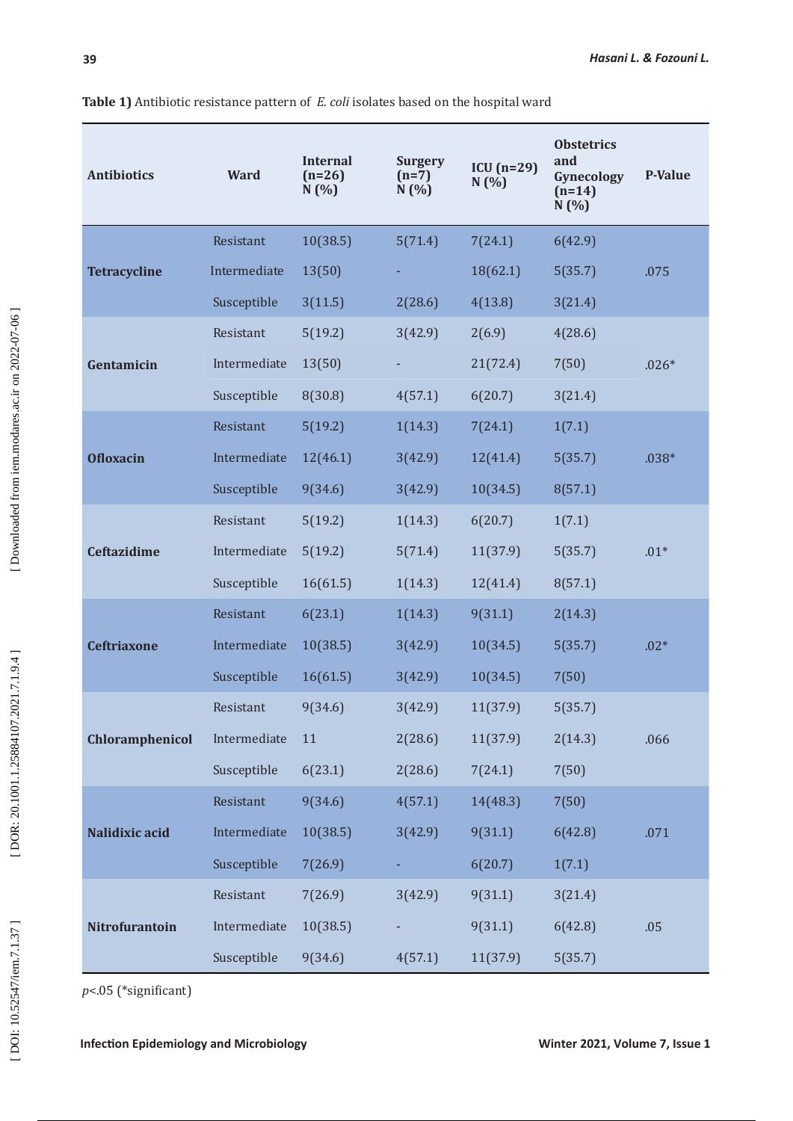| <b>Antibiotics</b>  | <b>Ward</b>  | <b>Internal</b><br>$(n=26)$<br>N(%) | <b>Surgery</b><br>$(n=7)$<br>N(%) | $ICU(n=29)$<br>N(%) | <b>Obstetrics</b><br>and<br>Gynecology<br>$(n=14)$<br>N(%) | <b>P-Value</b> |
|---------------------|--------------|-------------------------------------|-----------------------------------|---------------------|------------------------------------------------------------|----------------|
| <b>Tetracycline</b> | Resistant    | 10(38.5)                            | 5(71.4)                           | 7(24.1)             | 6(42.9)                                                    |                |
|                     | Intermediate | 13(50)                              |                                   | 18(62.1)            | 5(35.7)                                                    | .075           |
|                     | Susceptible  | 3(11.5)                             | 2(28.6)                           | 4(13.8)             | 3(21.4)                                                    |                |
| Gentamicin          | Resistant    | 5(19.2)                             | 3(42.9)                           | 2(6.9)              | 4(28.6)                                                    |                |
|                     | Intermediate | 13(50)                              |                                   | 21(72.4)            | 7(50)                                                      | $.026*$        |
|                     | Susceptible  | 8(30.8)                             | 4(57.1)                           | 6(20.7)             | 3(21.4)                                                    |                |
| <b>Ofloxacin</b>    | Resistant    | 5(19.2)                             | 1(14.3)                           | 7(24.1)             | 1(7.1)                                                     |                |
|                     | Intermediate | 12(46.1)                            | 3(42.9)                           | 12(41.4)            | 5(35.7)                                                    | $.038*$        |
|                     | Susceptible  | 9(34.6)                             | 3(42.9)                           | 10(34.5)            | 8(57.1)                                                    |                |
| <b>Ceftazidime</b>  | Resistant    | 5(19.2)                             | 1(14.3)                           | 6(20.7)             | 1(7.1)                                                     |                |
|                     | Intermediate | 5(19.2)                             | 5(71.4)                           | 11(37.9)            | 5(35.7)                                                    | $.01*$         |
|                     | Susceptible  | 16(61.5)                            | 1(14.3)                           | 12(41.4)            | 8(57.1)                                                    |                |
|                     | Resistant    | 6(23.1)                             | 1(14.3)                           | 9(31.1)             | 2(14.3)                                                    |                |
| <b>Ceftriaxone</b>  | Intermediate | 10(38.5)                            | 3(42.9)                           | 10(34.5)            | 5(35.7)                                                    | $.02*$         |
|                     | Susceptible  | 16(61.5)                            | 3(42.9)                           | 10(34.5)            | 7(50)                                                      |                |
|                     | Resistant    | 9(34.6)                             | 3(42.9)                           | 11(37.9)            | 5(35.7)                                                    |                |
| Chloramphenicol     | Intermediate | 11                                  | 2(28.6)                           | 11(37.9)            | 2(14.3)                                                    | .066           |
|                     | Susceptible  | 6(23.1)                             | 2(28.6)                           | 7(24.1)             | 7(50)                                                      |                |
| Nalidixic acid      | Resistant    | 9(34.6)                             | 4(57.1)                           | 14(48.3)            | 7(50)                                                      |                |
|                     | Intermediate | 10(38.5)                            | 3(42.9)                           | 9(31.1)             | 6(42.8)                                                    | .071           |
|                     | Susceptible  | 7(26.9)                             |                                   | 6(20.7)             | 1(7.1)                                                     |                |
| Nitrofurantoin      | Resistant    | 7(26.9)                             | 3(42.9)                           | 9(31.1)             | 3(21.4)                                                    |                |
|                     | Intermediate | 10(38.5)                            |                                   | 9(31.1)             | 6(42.8)                                                    | .05            |
|                     | Susceptible  | 9(34.6)                             | 4(57.1)                           | 11(37.9)            | 5(35.7)                                                    |                |

**Table 1)** Antibiotic resistance pattern of *E. coli* isolates based on the hospital ward

*p*<.05 (\*significant)

**Infection Epidemiology and Microbiology Microbiology Minter 2021, Volume 7, Issue 1**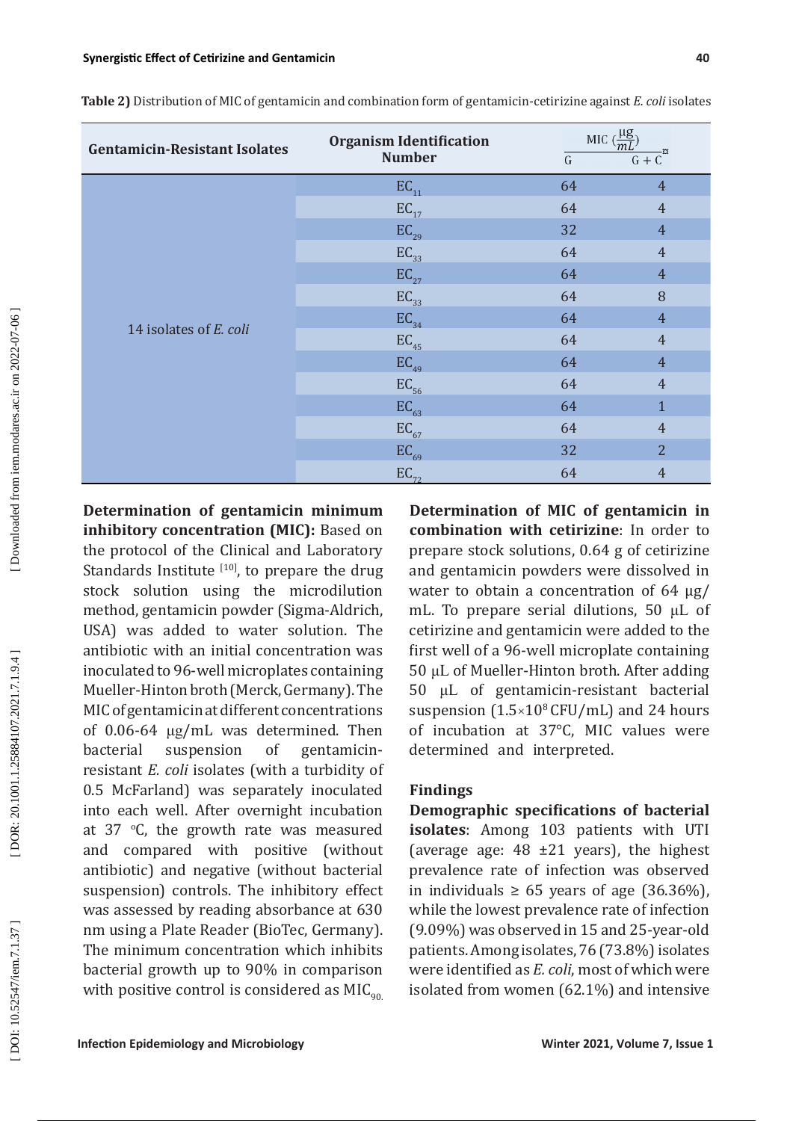**Table 2)** Distribution of MIC of gentamicin and combination form of gentamicin-cetirizine against *E. coli* isolates

| <b>Gentamicin-Resistant Isolates</b> | <b>Organism Identification</b><br><b>Number</b> | MIC $\left(\frac{\mu g}{mL}\right)$<br>G | -¤<br>$G + C$  |
|--------------------------------------|-------------------------------------------------|------------------------------------------|----------------|
|                                      | EC <sub>11</sub>                                | 64                                       | $\overline{4}$ |
|                                      | $EC_{17}$                                       | 64                                       | $\overline{4}$ |
|                                      | $EC_{29}$                                       | 32                                       | $\overline{4}$ |
|                                      | $EC_{33}$                                       | 64                                       | $\overline{4}$ |
|                                      | $EC_{27}$                                       | 64                                       | $\overline{4}$ |
|                                      | $EC_{33}$                                       | 64                                       | 8              |
|                                      | EC <sub>34</sub>                                | 64                                       | $\overline{4}$ |
| 14 isolates of E. coli               | $EC_{45}$                                       | 64                                       | $\overline{4}$ |
|                                      | $EC_{_{49}}$                                    | 64                                       | $\overline{4}$ |
|                                      | $EC_{56}$                                       | 64                                       | $\overline{4}$ |
|                                      | EC <sub>63</sub>                                | 64                                       | $\mathbf{1}$   |
|                                      | $EC_{67}$                                       | 64                                       | $\overline{4}$ |
|                                      | $EC_{69}$                                       | 32                                       | $\overline{2}$ |
|                                      | $EC_{72}$                                       | 64                                       | $\overline{4}$ |

**Determination of gentamicin minimum inhibitory concentration (MIC):** Based on the protocol of the Clinical and Laboratory Standards Institute  $[10]$ , to prepare the drug stock solution using the microdilution method, gentamicin powder (Sigma-Aldrich, USA) was added to water solution. The antibiotic with an initial concentration was inoculated to 96-well microplates containing Mueller-Hinton broth (Merck, Germany). The MIC of gentamicin at different concentrations of 0.06-64 μg/mL was determined. Then bacterial suspension of gentamicinresistant *E. coli* isolates (with a turbidity of 0.5 McFarland) was separately inoculated into each well. After overnight incubation at 37 o C, the growth rate was measured and compared with positive (without antibiotic) and negative (without bacterial suspension) controls. The inhibitory effect was assessed by reading absorbance at 630 nm using a Plate Reader (BioTec, Germany). The minimum concentration which inhibits bacterial growth up to 90% in comparison with positive control is considered as  $MIC<sub>q0</sub>$ 

**Determination of MIC of gentamicin in combination with cetirizine**: In order to prepare stock solutions, 0.64 g of cetirizine and gentamicin powders were dissolved in water to obtain a concentration of 64 μg/ mL. To prepare serial dilutions, 50 μL of cetirizine and gentamicin were added to the first well of a 96-well microplate containing 50 μL of Mueller-Hinton broth. After adding 50 μL of gentamicin-resistant bacterial suspension (1.5×10<sup>8</sup> CFU/mL) and 24 hours of incubation at 37°C, MIC values were determined and interpreted.

# **Findings**

**Demographic specifications of bacterial isolates**: Among 103 patients with UTI (average age:  $48 \pm 21$  years), the highest prevalence rate of infection was observed in individuals ≥ 65 years of age  $(36.36\%)$ , while the lowest prevalence rate of infection (9.09%) was observed in 15 and 25-year-old patients. Among isolates, 76 (73.8%) isolates were identified as *E. coli*, most of which were isolated from women (62.1%) and intensive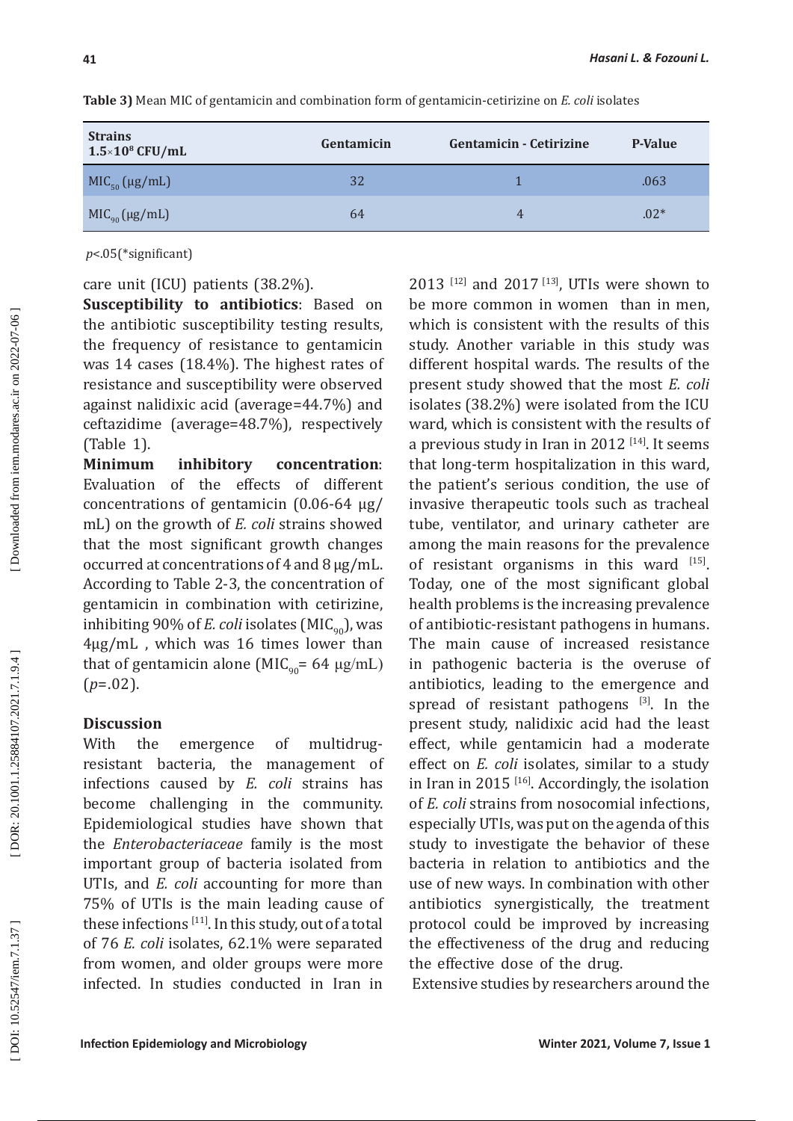| <b>Strains</b><br>$1.5\times10^8$ CFU/mL | Gentamicin | <b>Gentamicin - Cetirizine</b> | <b>P-Value</b> |
|------------------------------------------|------------|--------------------------------|----------------|
| $MIC50 (\mu g/mL)$                       | 32         |                                | .063           |
| $MIC_{90} (\mu g/mL)$                    | 64         | 4                              | $.02*$         |

**Table 3)** Mean MIC of gentamicin and combination form of gentamicin-cetirizine on *E. coli* isolates

*p*<.05(\*significant)

care unit (ICU) patients (38.2%).

**Susceptibility to antibiotics**: Based on the antibiotic susceptibility testing results, the frequency of resistance to gentamicin was 14 cases (18.4%). The highest rates of resistance and susceptibility were observed against nalidixic acid (average=44.7%) and ceftazidime (average=48.7%), respectively (Table 1).

inhibitory concentration: Evaluation of the effects of different concentrations of gentamicin (0.06-64 μg / mL) on the growth of *E. coli* strains showed that the most significant growth changes occurred at concentrations of 4 and 8 μg/mL. According to Table 2-3, the concentration of gentamicin in combination with cetirizine, inhibiting 90% of *E. coli* isolates ( $MIC<sub>oo</sub>$ ), was 4μg/mL , which was 16 times lower than that of gentamicin alone (MIC<sub>90</sub>= 64 μg/mL)  $(p=.02)$ .

### **Discussion**

With the emergence of multidrugresistant bacteria, the management of infections caused by *E. coli* strains has become challenging in the community. Epidemiological studies have shown that the *Enterobacteriaceae* family is the most important group of bacteria isolated from UTIs, and *E. coli* accounting for more than 75% of UTIs is the main leading cause of these infections [11]. In this study, out of a total of 76 *E. coli* isolates, 62.1% were separated from women, and older groups were more infected. In studies conducted in Iran in

2013<sup>[12]</sup> and 2017<sup>[13]</sup>, UTIs were shown to be more common in women than in men, which is consistent with the results of this study. Another variable in this study was different hospital wards. The results of the present study showed that the most *E. coli* isolates (38.2%) were isolated from the ICU ward, which is consistent with the results of a previous study in Iran in 2012  $[14]$ . It seems that long-term hospitalization in this ward, the patient's serious condition, the use of invasive therapeutic tools such as tracheal tube, ventilator, and urinary catheter are among the main reasons for the prevalence of resistant organisms in this ward  $[15]$ . Today, one of the most significant global health problems is the increasing prevalence of antibiotic-resistant pathogens in humans. The main cause of increased resistance in pathogenic bacteria is the overuse of antibiotics, leading to the emergence and spread of resistant pathogens  $[3]$ . In the present study, nalidixic acid had the least effect, while gentamicin had a moderate effect on *E. coli* isolates, similar to a study in Iran in 2015  $[16]$ . Accordingly, the isolation of *E. coli* strains from nosocomial infections, especially UTIs, was put on the agenda of this study to investigate the behavior of these bacteria in relation to antibiotics and the use of new ways. In combination with other antibiotics synergistically, the treatment protocol could be improved by increasing the effectiveness of the drug and reducing the effective dose of the drug.

Extensive studies by researchers around the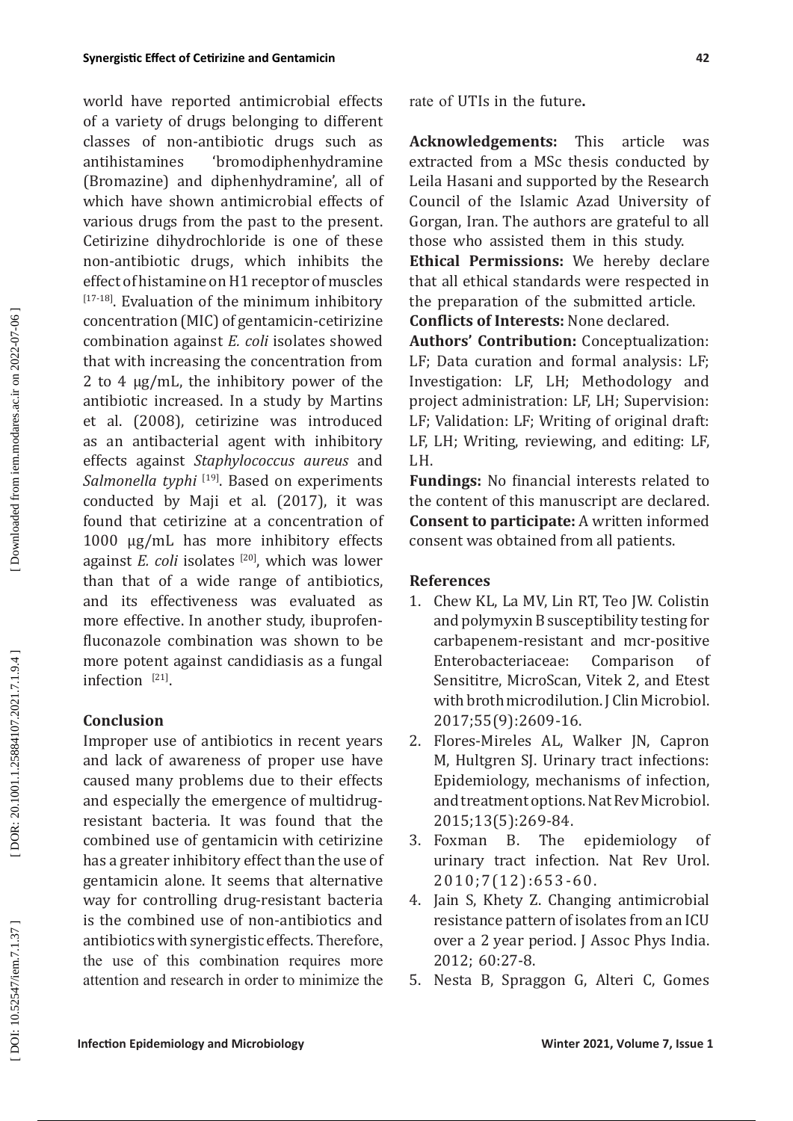world have reported antimicrobial effects of a variety of drugs belonging to different classes of non-antibiotic drugs such as antihistamines 'bromodiphenhydramine (Bromazine) and diphenhydramine', all of which have shown antimicrobial effects of various drugs from the past to the present. Cetirizine dihydrochloride is one of these non-antibiotic drugs, which inhibits the effect of histamine on H1 receptor of muscles [17-18]. Evaluation of the minimum inhibitory concentration (MIC) of gentamicin-cetirizine combination against *E. coli* isolates showed that with increasing the concentration from 2 to 4 μg/mL, the inhibitory power of the antibiotic increased. In a study by Martins et al. (2008), cetirizine was introduced as an antibacterial agent with inhibitory effects against *Staphylococcus aureus* and *Salmonella typhi* [19]. Based on experiments conducted by Maji et al. (2017), it was found that cetirizine at a concentration of 1000 μg/mL has more inhibitory effects against *E. coli* isolates <sup>[20]</sup>, which was lower than that of a wide range of antibiotics, and its effectiveness was evaluated as more effective. In another study, ibuprofenfluconazole combination was shown to be more potent against candidiasis as a fungal infection [21].

# **Conclusion**

Improper use of antibiotics in recent years and lack of awareness of proper use have caused many problems due to their effects and especially the emergence of multidrugresistant bacteria. It was found that the combined use of gentamicin with cetirizine has a greater inhibitory effect than the use of gentamicin alone. It seems that alternative way for controlling drug-resistant bacteria is the combined use of non-antibiotics and antibiotics with synergistic effects. Therefore, the use of this combination requires more attention and research in order to minimize the

rate of UTIs in the future **.**

**Acknowledgements:** This article was extracted from a MSc thesis conducted by Leila Hasani and supported by the Research Council of the Islamic Azad University of Gorgan, Iran. The authors are grateful to all those who assisted them in this study.

**Ethical Permissions:** We hereby declare that all ethical standards were respected in the preparation of the submitted article. **Conflicts of Interests:** None declared.

**Authors' Contribution:** Conceptualization: LF; Data curation and formal analysis: LF; Investigation: LF, LH; Methodology and project administration: LF, LH; Supervision: LF; Validation: LF; Writing of original draft: LF, LH; Writing, reviewing, and editing: LF, LH.

**Fundings:** No financial interests related to the content of this manuscript are declared. **Consent to participate:** A written informed consent was obtained from all patients.

# **References**

- 1. Chew KL, La MV, Lin RT, Teo JW. Colistin and polymyxin B susceptibility testing for carbapenem-resistant and mcr-positive Enterobacteriaceae: Comparison of Sensititre, MicroScan, Vitek 2, and Etest with broth microdilution. J Clin Microbiol. 2017;55(9):2609-16.
- 2. Flores-Mireles AL, Walker JN, Capron M, Hultgren SJ. Urinary tract infections: Epidemiology, mechanisms of infection, and treatment options. Nat Rev Microbiol. 2015;13(5):269-84.<br>Foxman B. The
- 3. Foxman B. The epidemiology of urinary tract infection. Nat Rev Urol. 2010;7(12):653-60.
- 4. Jain S, Khety Z. Changing antimicrobial resistance pattern of isolates from an ICU over a 2 year period. J Assoc Phys India. 2012; 60:27-8.
- 5. Nesta B, Spraggon G, Alteri C, Gomes